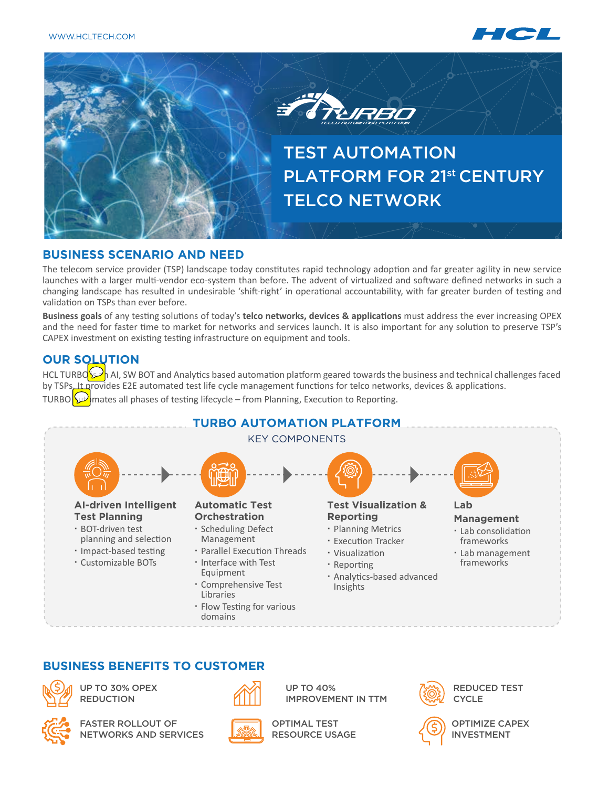



#### **BUSINESS SCENARIO AND NEED**

The telecom service provider (TSP) landscape today constitutes rapid technology adoption and far greater agility in new service launches with a larger multi-vendor eco-system than before. The advent of virtualized and software defined networks in such a changing landscape has resulted in undesirable 'shift-right' in operational accountability, with far greater burden of testing and validation on TSPs than ever before.

**Business goals** of any testing solutions of today's **telco networks, devices & applications** must address the ever increasing OPEX and the need for faster time to market for networks and services launch. It is also important for any solution to preserve TSP's CAPEX investment on existing testing infrastructure on equipment and tools.

## **OUR SOLUTION**

HCL TURBO  $\gg$  al, SW BOT and Analytics based automation platform geared towards the business and technical challenges faced by TSPs. It provides E2E automated test life cycle management functions for telco networks, devices & applications.

TURBO  $\omega$  mates all phases of testing lifecycle – from Planning, Execution to Reporting.



### **BUSINESS BENEFITS TO CUSTOMER**



UP TO 30% OPEX **REDUCTION** 



FASTER ROLLOUT OF NETWORKS AND SERVICES



UP TO 40% IMPROVEMENT IN TTM



REDUCED TEST **CYCLE** 



OPTIMIZE CAPEX INVESTMENT